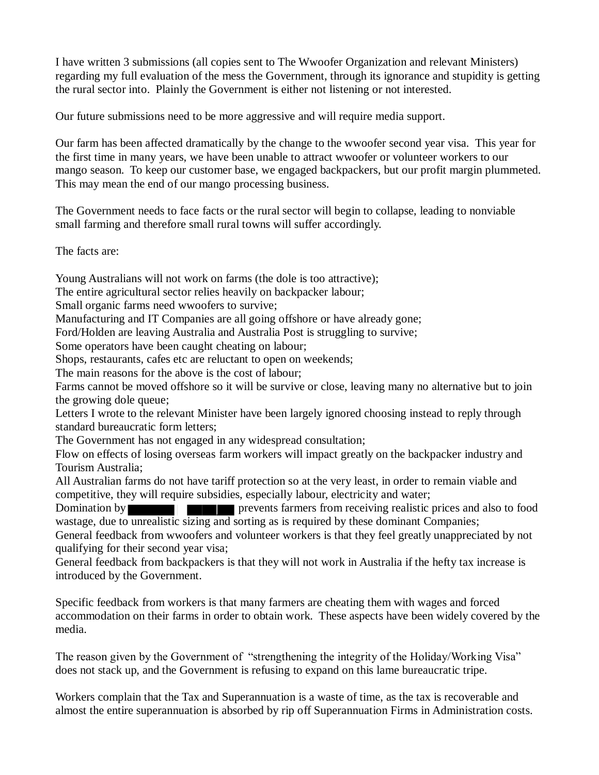I have written 3 submissions (all copies sent to The Wwoofer Organization and relevant Ministers) regarding my full evaluation of the mess the Government, through its ignorance and stupidity is getting the rural sector into. Plainly the Government is either not listening or not interested.

Our future submissions need to be more aggressive and will require media support.

Our farm has been affected dramatically by the change to the wwoofer second year visa. This year for the first time in many years, we have been unable to attract wwoofer or volunteer workers to our mango season. To keep our customer base, we engaged backpackers, but our profit margin plummeted. This may mean the end of our mango processing business.

The Government needs to face facts or the rural sector will begin to collapse, leading to nonviable small farming and therefore small rural towns will suffer accordingly.

The facts are:

Young Australians will not work on farms (the dole is too attractive);

The entire agricultural sector relies heavily on backpacker labour;

Small organic farms need wwoofers to survive;

Manufacturing and IT Companies are all going offshore or have already gone;

Ford/Holden are leaving Australia and Australia Post is struggling to survive;

Some operators have been caught cheating on labour;

Shops, restaurants, cafes etc are reluctant to open on weekends;

The main reasons for the above is the cost of labour;

Farms cannot be moved offshore so it will be survive or close, leaving many no alternative but to join the growing dole queue;

Letters I wrote to the relevant Minister have been largely ignored choosing instead to reply through standard bureaucratic form letters;

The Government has not engaged in any widespread consultation;

Flow on effects of losing overseas farm workers will impact greatly on the backpacker industry and Tourism Australia;

All Australian farms do not have tariff protection so at the very least, in order to remain viable and competitive, they will require subsidies, especially labour, electricity and water;

Domination by **prevents farmers** from receiving realistic prices and also to food wastage, due to unrealistic sizing and sorting as is required by these dominant Companies;

General feedback from wwoofers and volunteer workers is that they feel greatly unappreciated by not qualifying for their second year visa;

General feedback from backpackers is that they will not work in Australia if the hefty tax increase is introduced by the Government.

Specific feedback from workers is that many farmers are cheating them with wages and forced accommodation on their farms in order to obtain work. These aspects have been widely covered by the media.

The reason given by the Government of "strengthening the integrity of the Holiday/Working Visa" does not stack up, and the Government is refusing to expand on this lame bureaucratic tripe.

Workers complain that the Tax and Superannuation is a waste of time, as the tax is recoverable and almost the entire superannuation is absorbed by rip off Superannuation Firms in Administration costs.